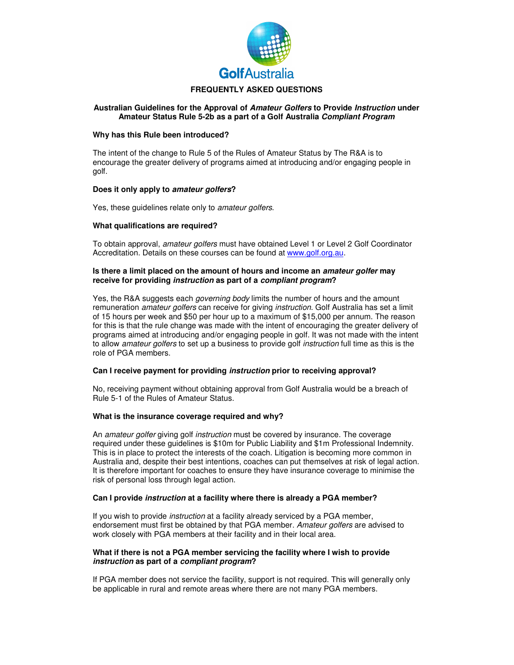

# **FREQUENTLY ASKED QUESTIONS**

#### **Australian Guidelines for the Approval of** *Amateur Golfers* **to Provide** *Instruction* **under Amateur Status Rule 5-2b as a part of a Golf Australia** *Compliant Program*

#### **Why has this Rule been introduced?**

The intent of the change to Rule 5 of the Rules of Amateur Status by The R&A is to encourage the greater delivery of programs aimed at introducing and/or engaging people in golf.

## **Does it only apply to** *amateur golfers***?**

Yes, these guidelines relate only to *amateur golfers*.

## **What qualifications are required?**

To obtain approval, *amateur golfers* must have obtained Level 1 or Level 2 Golf Coordinator Accreditation. Details on these courses can be found at www.golf.org.au.

#### **Is there a limit placed on the amount of hours and income an** *amateur golfer* **may receive for providing** *instruction* **as part of a** *compliant program***?**

Yes, the R&A suggests each *governing body* limits the number of hours and the amount remuneration *amateur golfers* can receive for giving *instruction*. Golf Australia has set a limit of 15 hours per week and \$50 per hour up to a maximum of \$15,000 per annum. The reason for this is that the rule change was made with the intent of encouraging the greater delivery of programs aimed at introducing and/or engaging people in golf. It was not made with the intent to allow *amateur golfers* to set up a business to provide golf *instruction* full time as this is the role of PGA members.

#### **Can I receive payment for providing** *instruction* **prior to receiving approval?**

No, receiving payment without obtaining approval from Golf Australia would be a breach of Rule 5-1 of the Rules of Amateur Status.

## **What is the insurance coverage required and why?**

An *amateur golfer* giving golf *instruction* must be covered by insurance. The coverage required under these guidelines is \$10m for Public Liability and \$1m Professional Indemnity. This is in place to protect the interests of the coach. Litigation is becoming more common in Australia and, despite their best intentions, coaches can put themselves at risk of legal action. It is therefore important for coaches to ensure they have insurance coverage to minimise the risk of personal loss through legal action.

#### **Can I provide** *instruction* **at a facility where there is already a PGA member?**

If you wish to provide *instruction* at a facility already serviced by a PGA member, endorsement must first be obtained by that PGA member. *Amateur golfers* are advised to work closely with PGA members at their facility and in their local area.

#### **What if there is not a PGA member servicing the facility where I wish to provide**  *instruction* **as part of a** *compliant program***?**

If PGA member does not service the facility, support is not required. This will generally only be applicable in rural and remote areas where there are not many PGA members.